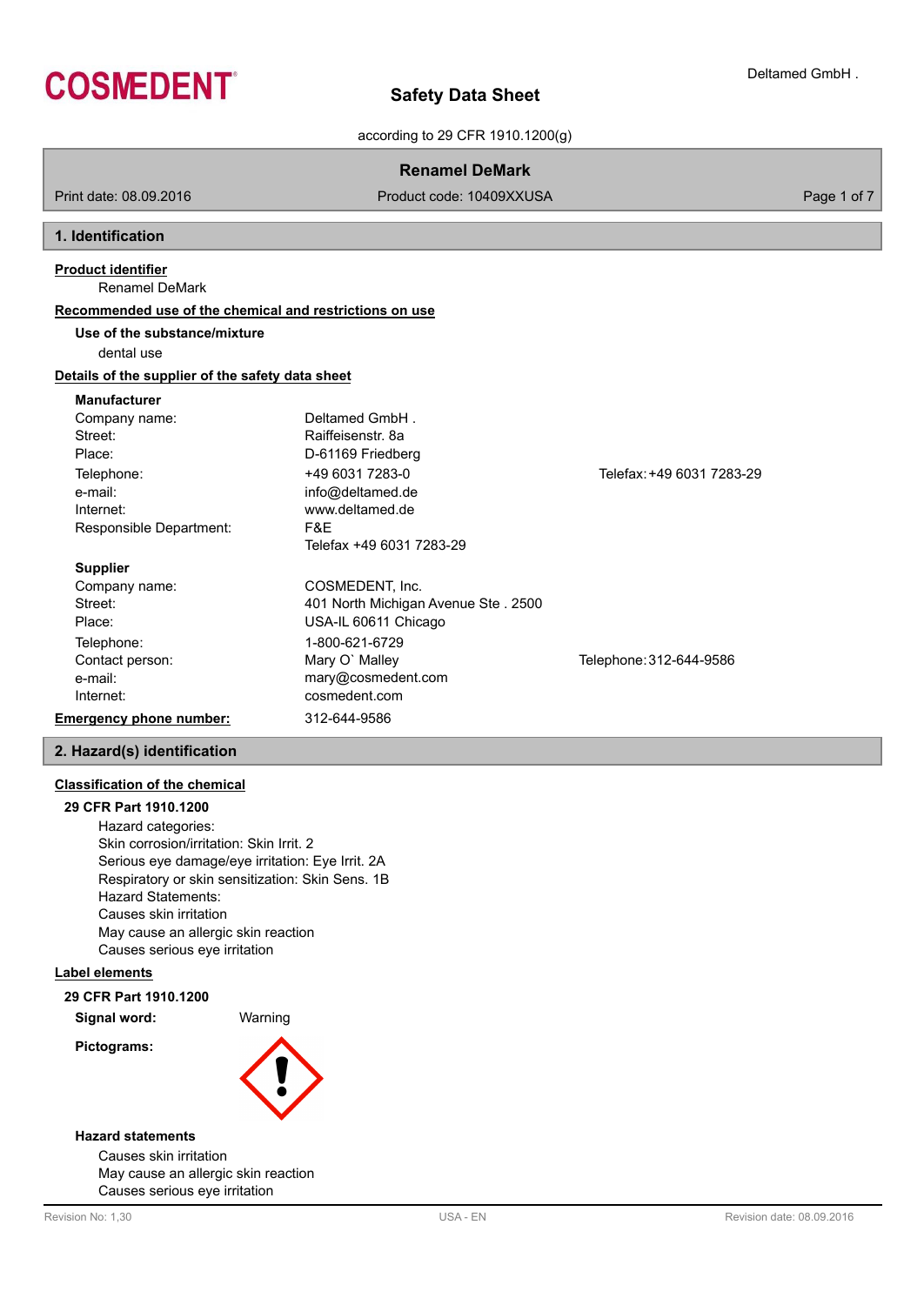

according to 29 CFR 1910.1200(g)

| <b>Renamel DeMark</b>                                                                                                                                     |                                                                         |  |  |
|-----------------------------------------------------------------------------------------------------------------------------------------------------------|-------------------------------------------------------------------------|--|--|
| Product code: 10409XXUSA                                                                                                                                  | Page 1 of 7                                                             |  |  |
|                                                                                                                                                           |                                                                         |  |  |
|                                                                                                                                                           |                                                                         |  |  |
|                                                                                                                                                           |                                                                         |  |  |
| Use of the substance/mixture                                                                                                                              |                                                                         |  |  |
|                                                                                                                                                           |                                                                         |  |  |
| Details of the supplier of the safety data sheet                                                                                                          |                                                                         |  |  |
| Deltamed GmbH.<br>Raiffeisenstr, 8a<br>D-61169 Friedberg<br>+49 6031 7283-0<br>info@deltamed.de<br>www.deltamed.de<br>F&E<br>Telefax +49 6031 7283-29     | Telefax: +49 6031 7283-29                                               |  |  |
| COSMEDENT, Inc.<br>401 North Michigan Avenue Ste. 2500<br>USA-IL 60611 Chicago<br>1-800-621-6729<br>Mary O' Malley<br>mary@cosmedent.com<br>cosmedent.com | Telephone: 312-644-9586                                                 |  |  |
|                                                                                                                                                           | Recommended use of the chemical and restrictions on use<br>312-644-9586 |  |  |

# **2. Hazard(s) identification**

# **Classification of the chemical**

**29 CFR Part 1910.1200** Hazard categories: Skin corrosion/irritation: Skin Irrit. 2 Serious eye damage/eye irritation: Eye Irrit. 2A Respiratory or skin sensitization: Skin Sens. 1B Hazard Statements: Causes skin irritation May cause an allergic skin reaction Causes serious eye irritation

### **Label elements**

# **29 CFR Part 1910.1200**

**Signal word:** Warning

**Pictograms:**



### **Hazard statements**

Causes skin irritation May cause an allergic skin reaction Causes serious eye irritation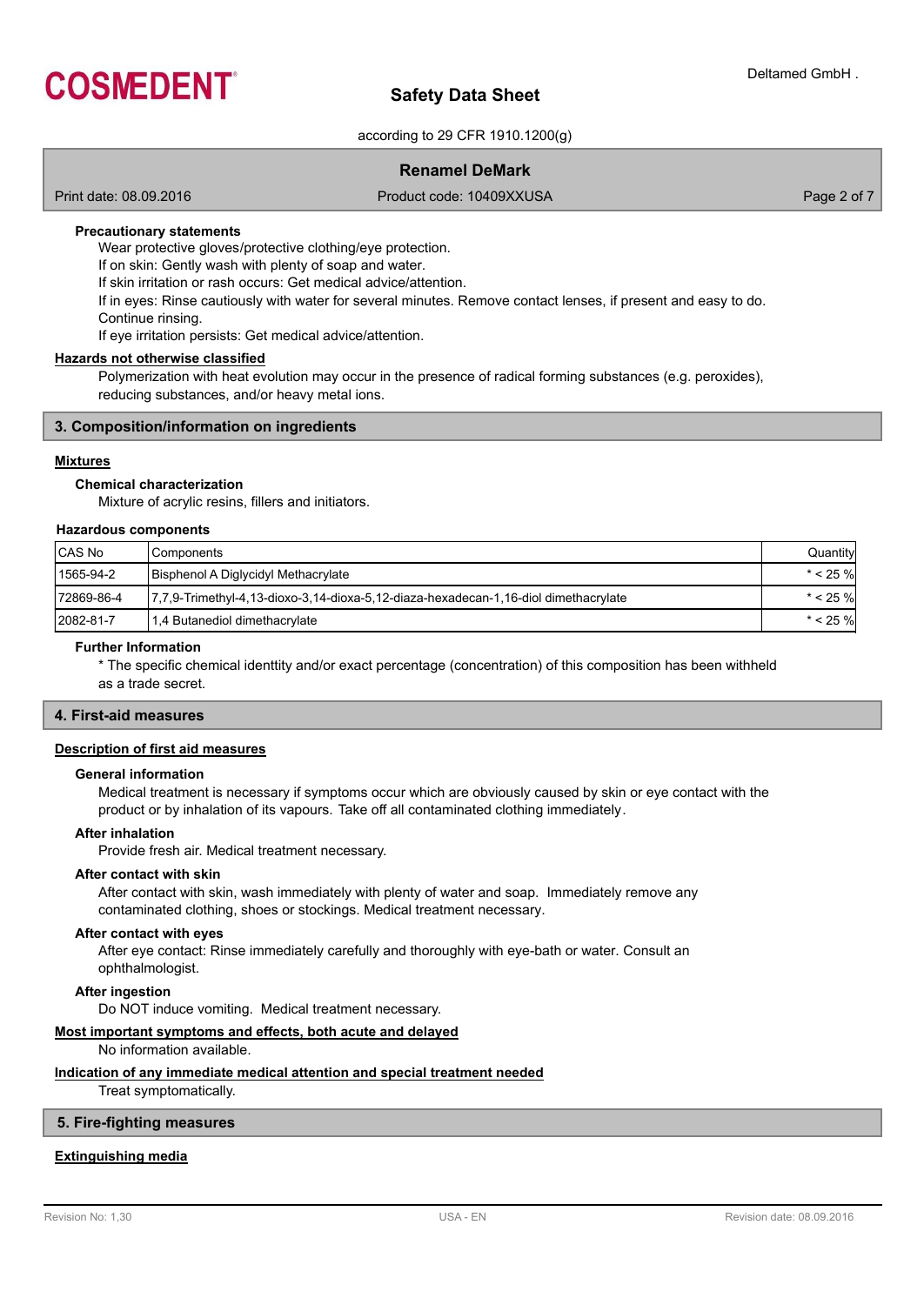

according to 29 CFR 1910.1200(g)

# **Renamel DeMark**

Print date: 08.09.2016 **Product code: 10409XXUSA** Product code: 10409XXUSA Page 2 of 7

### **Precautionary statements**

Wear protective gloves/protective clothing/eye protection.

If on skin: Gently wash with plenty of soap and water.

If skin irritation or rash occurs: Get medical advice/attention.

If in eyes: Rinse cautiously with water for several minutes. Remove contact lenses, if present and easy to do.

Continue rinsing. If eye irritation persists: Get medical advice/attention.

### **Hazards not otherwise classified**

Polymerization with heat evolution may occur in the presence of radical forming substances (e.g. peroxides), reducing substances, and/or heavy metal ions.

### **3. Composition/information on ingredients**

### **Mixtures**

### **Chemical characterization**

Mixture of acrylic resins, fillers and initiators.

### **Hazardous components**

| CAS No     | l Components                                                                        | Quantity    |
|------------|-------------------------------------------------------------------------------------|-------------|
| 1565-94-2  | Bisphenol A Diglycidyl Methacrylate                                                 | $* < 25 \%$ |
| 72869-86-4 | 1,7,9-Trimethyl-4,13-dioxo-3,14-dioxa-5,12-diaza-hexadecan-1,16-diol dimethacrylate | $* < 25 \%$ |
| 2082-81-7  | 1,4 Butanediol dimethacrylate                                                       | $* < 25 \%$ |

### **Further Information**

\* The specific chemical identtity and/or exact percentage (concentration) of this composition has been withheld as a trade secret.

# **4. First-aid measures**

# **Description of first aid measures**

#### **General information**

Medical treatment is necessary if symptoms occur which are obviously caused by skin or eye contact with the product or by inhalation of its vapours. Take off all contaminated clothing immediately.

### **After inhalation**

Provide fresh air. Medical treatment necessary.

### **After contact with skin**

After contact with skin, wash immediately with plenty of water and soap. Immediately remove any contaminated clothing, shoes or stockings. Medical treatment necessary.

#### **After contact with eyes**

After eye contact: Rinse immediately carefully and thoroughly with eye-bath or water. Consult an ophthalmologist.

**After ingestion**

Do NOT induce vomiting. Medical treatment necessary.

# **Most important symptoms and effects, both acute and delayed**

No information available.

### **Indication of any immediate medical attention and special treatment needed**

Treat symptomatically.

# **5. Fire-fighting measures**

### **Extinguishing media**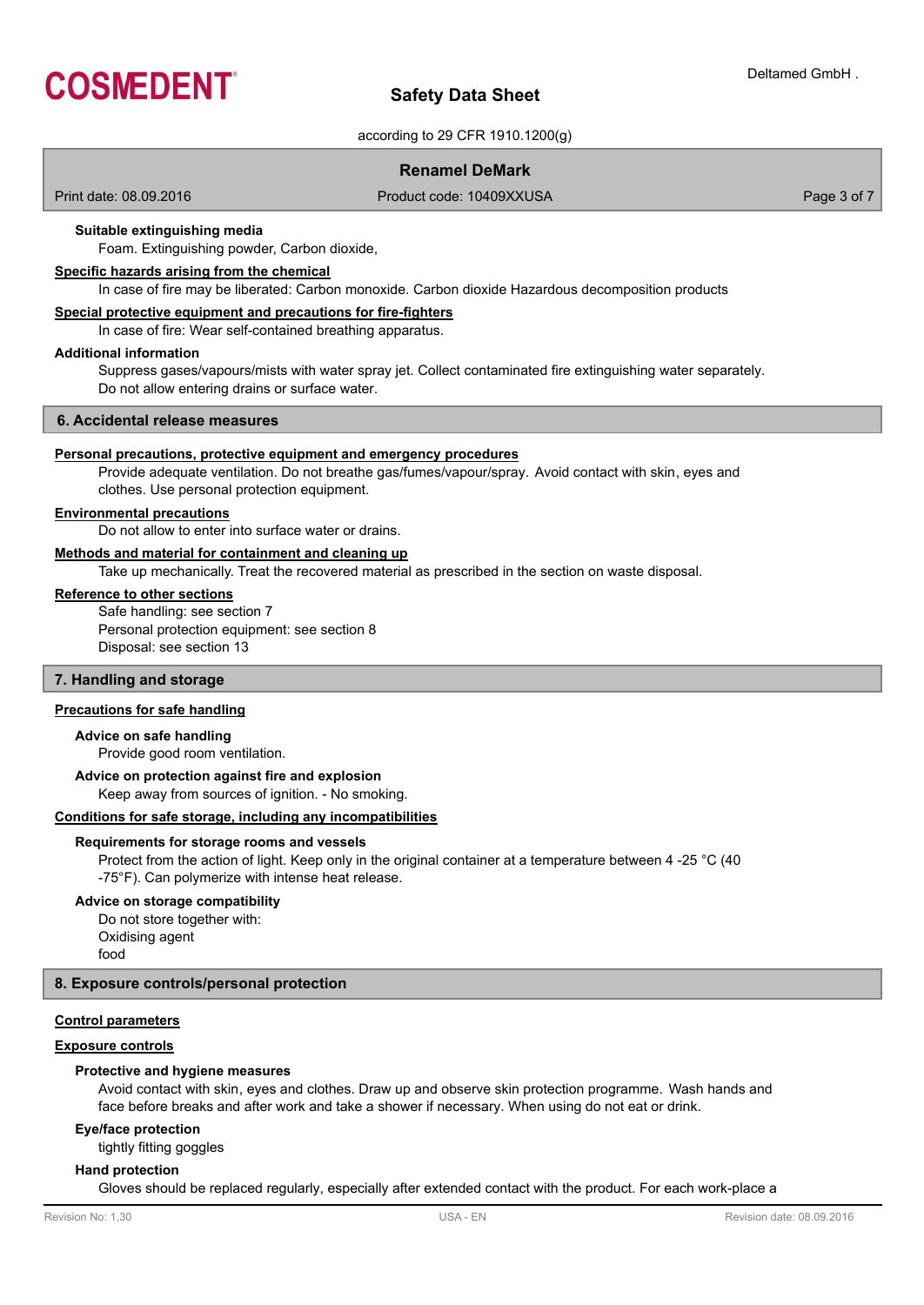

according to 29 CFR 1910.1200(g)

# **Renamel DeMark**

Print date: 08.09.2016 **Product code: 10409XXUSA** Product code: 10409XXUSA

### **Suitable extinguishing media**

Foam. Extinguishing powder, Carbon dioxide,

### **Specific hazards arising from the chemical**

In case of fire may be liberated: Carbon monoxide. Carbon dioxide Hazardous decomposition products

### **Special protective equipment and precautions for fire-fighters**

In case of fire: Wear self-contained breathing apparatus.

### **Additional information**

Suppress gases/vapours/mists with water spray jet. Collect contaminated fire extinguishing water separately. Do not allow entering drains or surface water.

#### **6. Accidental release measures**

#### **Personal precautions, protective equipment and emergency procedures**

Provide adequate ventilation. Do not breathe gas/fumes/vapour/spray. Avoid contact with skin, eyes and clothes. Use personal protection equipment.

#### **Environmental precautions**

Do not allow to enter into surface water or drains.

# **Methods and material for containment and cleaning up**

Take up mechanically. Treat the recovered material as prescribed in the section on waste disposal.

### **Reference to other sections**

Safe handling: see section 7 Personal protection equipment: see section 8 Disposal: see section 13

### **7. Handling and storage**

### **Precautions for safe handling**

### **Advice on safe handling**

Provide good room ventilation.

### **Advice on protection against fire and explosion**

Keep away from sources of ignition. - No smoking.

### **Conditions for safe storage, including any incompatibilities**

#### **Requirements for storage rooms and vessels**

Protect from the action of light. Keep only in the original container at a temperature between 4 -25 °C (40 -75°F). Can polymerize with intense heat release.

### **Advice on storage compatibility**

Do not store together with: Oxidising agent food

# **8. Exposure controls/personal protection**

### **Control parameters**

### **Exposure controls**

### **Protective and hygiene measures**

Avoid contact with skin, eyes and clothes. Draw up and observe skin protection programme. Wash hands and face before breaks and after work and take a shower if necessary. When using do not eat or drink.

### **Eye/face protection**

tightly fitting goggles

### **Hand protection**

Gloves should be replaced regularly, especially after extended contact with the product. For each work-place a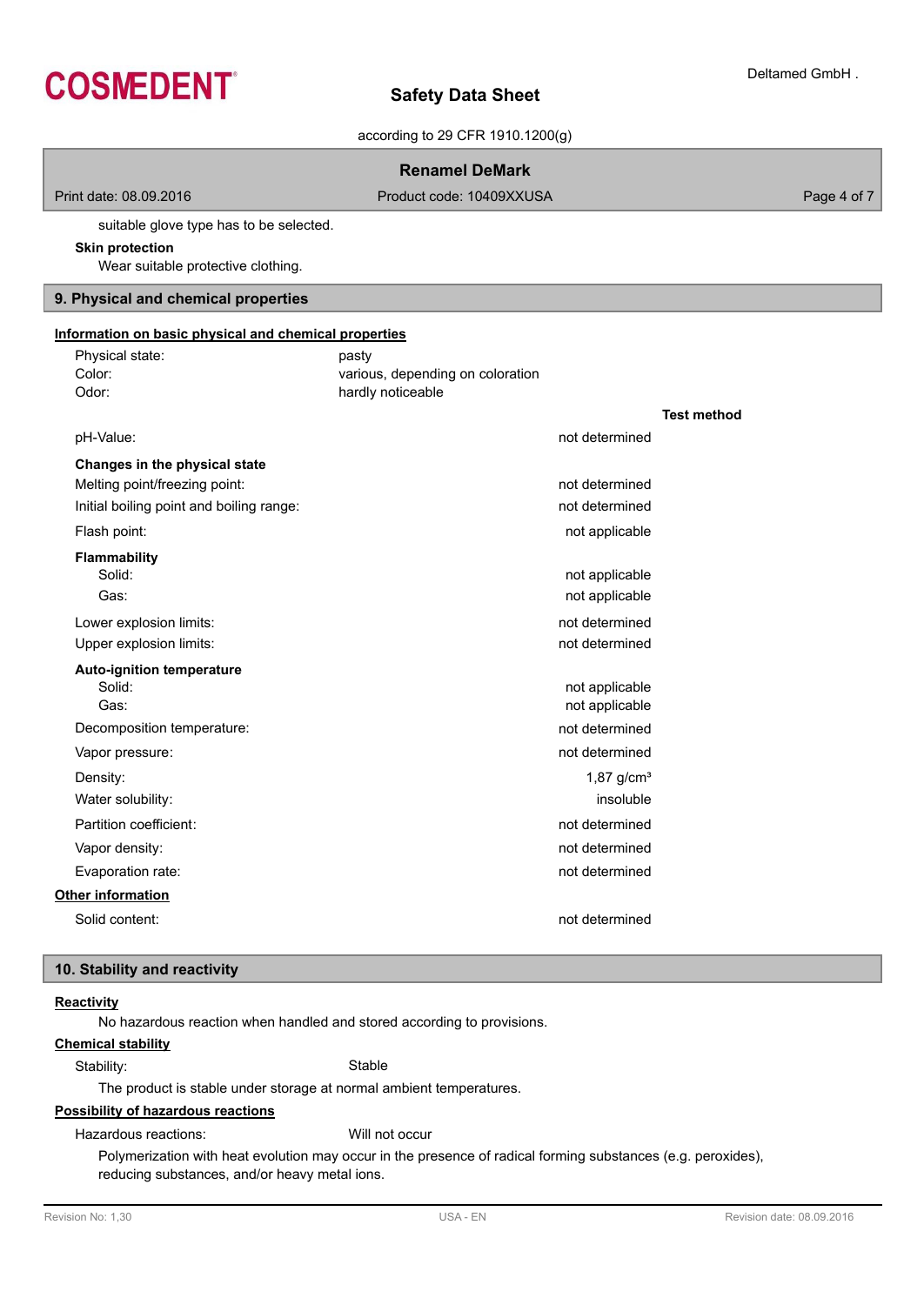

according to 29 CFR 1910.1200(g)

|                                                                                                            | <b>Renamel DeMark</b>                                          |                    |
|------------------------------------------------------------------------------------------------------------|----------------------------------------------------------------|--------------------|
| Print date: 08.09.2016                                                                                     | Product code: 10409XXUSA                                       | Page 4 of 7        |
| suitable glove type has to be selected.<br><b>Skin protection</b><br>Wear suitable protective clothing.    |                                                                |                    |
| 9. Physical and chemical properties                                                                        |                                                                |                    |
| Information on basic physical and chemical properties                                                      |                                                                |                    |
| Physical state:<br>Color:<br>Odor:                                                                         | pasty<br>various, depending on coloration<br>hardly noticeable | <b>Test method</b> |
| pH-Value:                                                                                                  | not determined                                                 |                    |
| Changes in the physical state<br>Melting point/freezing point:<br>Initial boiling point and boiling range: | not determined<br>not determined                               |                    |
| Flash point:                                                                                               | not applicable                                                 |                    |
| <b>Flammability</b><br>Solid:<br>Gas:<br>Lower explosion limits:                                           | not applicable<br>not applicable<br>not determined             |                    |
| Upper explosion limits:                                                                                    | not determined                                                 |                    |
| <b>Auto-ignition temperature</b><br>Solid:<br>Gas:                                                         | not applicable<br>not applicable                               |                    |
| Decomposition temperature:                                                                                 | not determined                                                 |                    |
| Vapor pressure:                                                                                            | not determined                                                 |                    |
| Density:                                                                                                   | $1,87$ g/cm <sup>3</sup>                                       |                    |
| Water solubility:                                                                                          | insoluble                                                      |                    |
| Partition coefficient:                                                                                     | not determined                                                 |                    |
| Vapor density:                                                                                             | not determined                                                 |                    |
| Evaporation rate:                                                                                          | not determined                                                 |                    |
| Other information                                                                                          |                                                                |                    |
| Solid content:                                                                                             | not determined                                                 |                    |

# **10. Stability and reactivity**

# **Reactivity**

No hazardous reaction when handled and stored according to provisions.

### **Chemical stability**

Stability: Stable

# The product is stable under storage at normal ambient temperatures.

# **Possibility of hazardous reactions**

Hazardous reactions: Will not occur

Polymerization with heat evolution may occur in the presence of radical forming substances (e.g. peroxides), reducing substances, and/or heavy metal ions.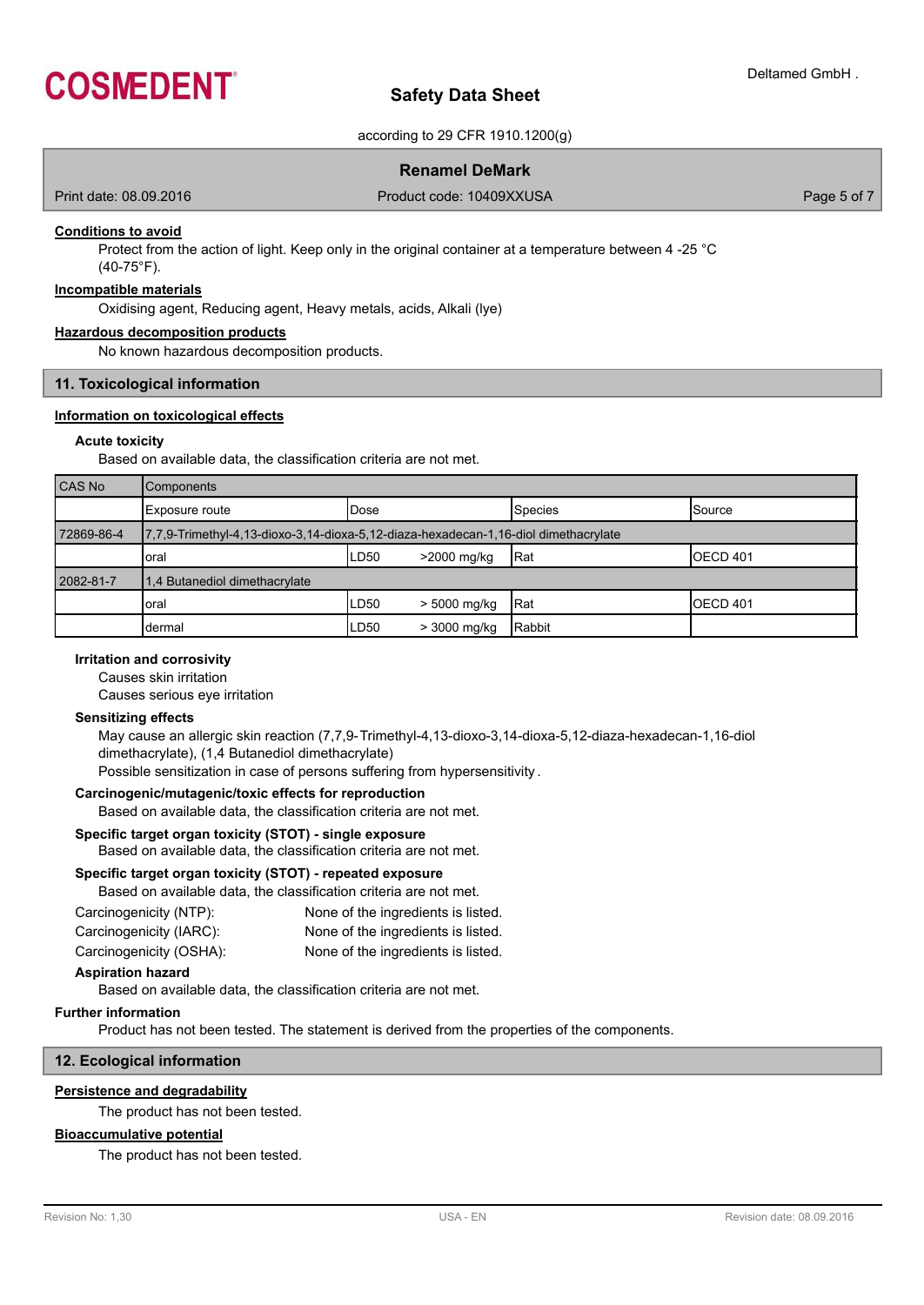

according to 29 CFR 1910.1200(g)

# **Renamel DeMark**

Print date: 08.09.2016 **Product code: 10409XXUSA** Product code: 10409XXUSA

### **Conditions to avoid**

Protect from the action of light. Keep only in the original container at a temperature between 4 -25 °C (40-75°F).

### **Incompatible materials**

Oxidising agent, Reducing agent, Heavy metals, acids, Alkali (lye)

### **Hazardous decomposition products**

No known hazardous decomposition products.

# **11. Toxicological information**

### **Information on toxicological effects**

### **Acute toxicity**

Based on available data, the classification criteria are not met.

| CAS No     | <b>Components</b>                                                                   |       |                |               |                     |
|------------|-------------------------------------------------------------------------------------|-------|----------------|---------------|---------------------|
|            | Exposure route                                                                      | lDose |                | Species       | <b>Source</b>       |
| 72869-86-4 | 7,7,9-Trimethyl-4,13-dioxo-3,14-dioxa-5,12-diaza-hexadecan-1,16-diol dimethacrylate |       |                |               |                     |
|            | oral                                                                                | LD50  | >2000 mg/kg    | Rat           | OECD <sub>401</sub> |
| 2082-81-7  | 1.4 Butanediol dimethacrylate                                                       |       |                |               |                     |
|            | oral                                                                                | ILD50 | $> 5000$ mg/kg | IRat          | <b>IOECD 401</b>    |
|            | dermal                                                                              | LD50  | > 3000 mg/kg   | <b>Rabbit</b> |                     |

## **Irritation and corrosivity**

Causes skin irritation

Causes serious eye irritation

### **Sensitizing effects**

May cause an allergic skin reaction (7,7,9-Trimethyl-4,13-dioxo-3,14-dioxa-5,12-diaza-hexadecan-1,16-diol dimethacrylate), (1,4 Butanediol dimethacrylate)

Possible sensitization in case of persons suffering from hypersensitivity .

### **Carcinogenic/mutagenic/toxic effects for reproduction**

Based on available data, the classification criteria are not met.

# **Specific target organ toxicity (STOT) - single exposure**

Based on available data, the classification criteria are not met.

### **Specific target organ toxicity (STOT) - repeated exposure**

| Based on available data, the classification criteria are not met. |                                    |
|-------------------------------------------------------------------|------------------------------------|
| Carcinogenicity (NTP):                                            | None of the ingredients is listed. |
| Carcinogenicity (IARC):                                           | None of the ingredients is listed. |
| Carcinogenicity (OSHA):                                           | None of the ingredients is listed. |

# **Aspiration hazard**

Based on available data, the classification criteria are not met.

### **Further information**

Product has not been tested. The statement is derived from the properties of the components.

# **12. Ecological information**

### **Persistence and degradability**

The product has not been tested.

# **Bioaccumulative potential**

The product has not been tested.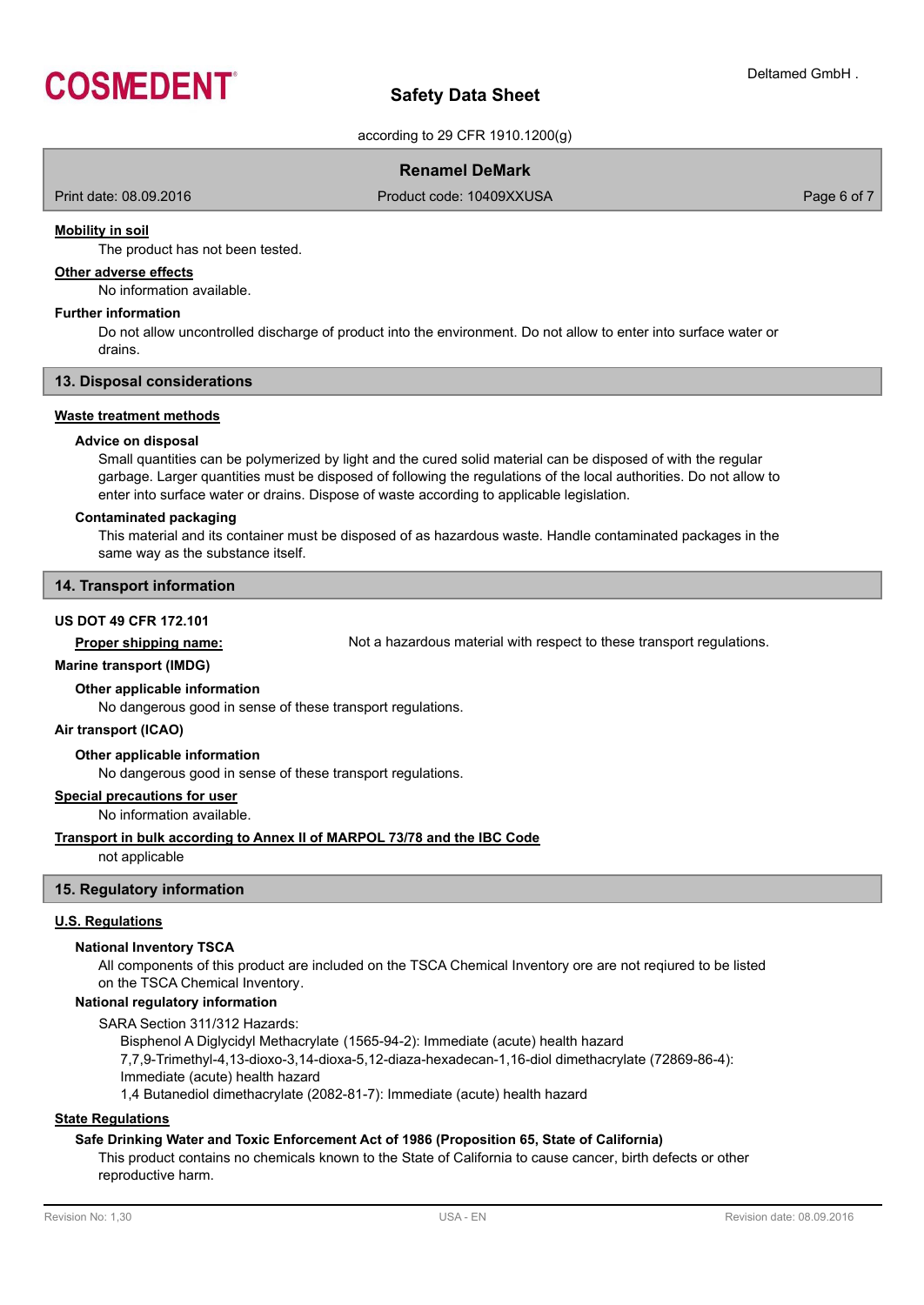

according to 29 CFR 1910.1200(g)

# **Renamel DeMark**

Print date: 08.09.2016 **Product code: 10409XXUSA** Product code: 10409XXUSA Page 6 of 7

### **Mobility in soil**

The product has not been tested.

### **Other adverse effects**

No information available.

### **Further information**

Do not allow uncontrolled discharge of product into the environment. Do not allow to enter into surface water or drains.

### **13. Disposal considerations**

### **Waste treatment methods**

### **Advice on disposal**

Small quantities can be polymerized by light and the cured solid material can be disposed of with the regular garbage. Larger quantities must be disposed of following the regulations of the local authorities. Do not allow to enter into surface water or drains. Dispose of waste according to applicable legislation.

### **Contaminated packaging**

This material and its container must be disposed of as hazardous waste. Handle contaminated packages in the same way as the substance itself.

### **14. Transport information**

### **US DOT 49 CFR 172.101**

**Proper shipping name:** Not a hazardous material with respect to these transport regulations.

### **Marine transport (IMDG)**

### **Other applicable information**

No dangerous good in sense of these transport regulations.

### **Air transport (ICAO)**

### **Other applicable information**

No dangerous good in sense of these transport regulations.

### **Special precautions for user**

No information available.

### **Transport in bulk according to Annex II of MARPOL 73/78 and the IBC Code**

not applicable

### **15. Regulatory information**

### **U.S. Regulations**

### **National Inventory TSCA**

All components of this product are included on the TSCA Chemical Inventory ore are not reqiured to be listed on the TSCA Chemical Inventory.

### **National regulatory information**

SARA Section 311/312 Hazards:

Bisphenol A Diglycidyl Methacrylate (1565-94-2): Immediate (acute) health hazard

7,7,9-Trimethyl-4,13-dioxo-3,14-dioxa-5,12-diaza-hexadecan-1,16-diol dimethacrylate (72869-86-4):

Immediate (acute) health hazard

1,4 Butanediol dimethacrylate (2082-81-7): Immediate (acute) health hazard

# **State Regulations**

### **Safe Drinking Water and Toxic Enforcement Act of 1986 (Proposition 65, State of California)**

This product contains no chemicals known to the State of California to cause cancer, birth defects or other reproductive harm.